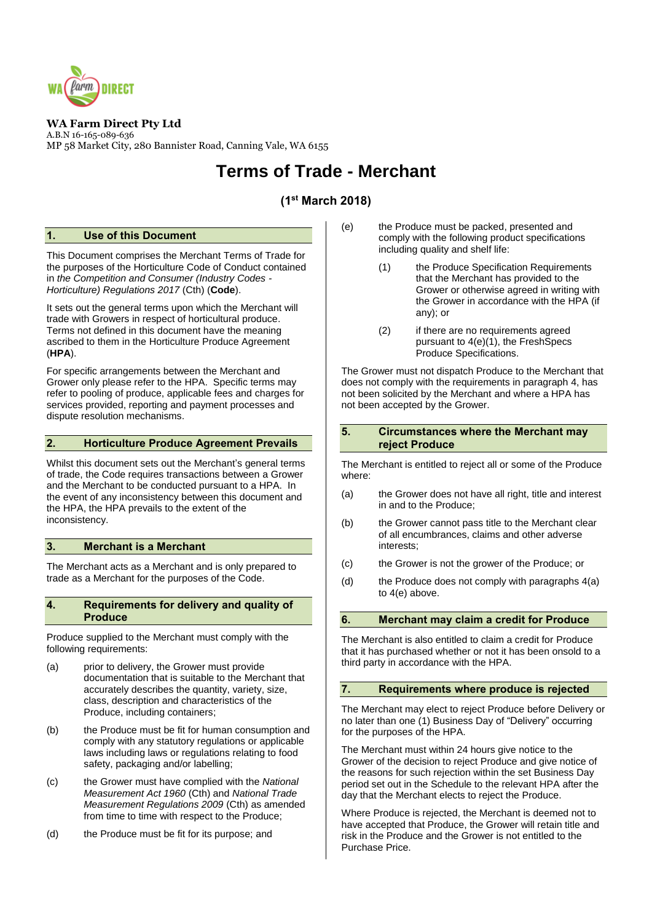

## **WA Farm Direct Pty Ltd**

A.B.N 16-165-089-636 MP 58 Market City, 280 Bannister Road, Canning Vale, WA 6155

# **Terms of Trade - Merchant**

# **(1 st March 2018)**

#### **1. Use of this Document**

This Document comprises the Merchant Terms of Trade for the purposes of the Horticulture Code of Conduct contained in *the Competition and Consumer (Industry Codes - Horticulture) Regulations 2017* (Cth) (**Code**).

It sets out the general terms upon which the Merchant will trade with Growers in respect of horticultural produce. Terms not defined in this document have the meaning ascribed to them in the Horticulture Produce Agreement (**HPA**).

For specific arrangements between the Merchant and Grower only please refer to the HPA. Specific terms may refer to pooling of produce, applicable fees and charges for services provided, reporting and payment processes and dispute resolution mechanisms.

#### **2. Horticulture Produce Agreement Prevails**

Whilst this document sets out the Merchant's general terms of trade, the Code requires transactions between a Grower and the Merchant to be conducted pursuant to a HPA. In the event of any inconsistency between this document and the HPA, the HPA prevails to the extent of the inconsistency.

## **3. Merchant is a Merchant**

The Merchant acts as a Merchant and is only prepared to trade as a Merchant for the purposes of the Code.

#### <span id="page-0-0"></span>**4. Requirements for delivery and quality of Produce**

Produce supplied to the Merchant must comply with the following requirements:

- <span id="page-0-1"></span>(a) prior to delivery, the Grower must provide documentation that is suitable to the Merchant that accurately describes the quantity, variety, size, class, description and characteristics of the Produce, including containers;
- (b) the Produce must be fit for human consumption and comply with any statutory regulations or applicable laws including laws or regulations relating to food safety, packaging and/or labelling;
- (c) the Grower must have complied with the *National Measurement Act 1960* (Cth) and *National Trade Measurement Regulations 2009* (Cth) as amended from time to time with respect to the Produce;
- (d) the Produce must be fit for its purpose; and
- <span id="page-0-2"></span>(e) the Produce must be packed, presented and comply with the following product specifications including quality and shelf life:
	- (1) the Produce Specification Requirements that the Merchant has provided to the Grower or otherwise agreed in writing with the Grower in accordance with the HPA (if any); or
	- (2) if there are no requirements agreed pursuant to  $4(e)(1)$ , the FreshSpecs Produce Specifications.

The Grower must not dispatch Produce to the Merchant that does not comply with the requirements in paragraph [4,](#page-0-0) has not been solicited by the Merchant and where a HPA has not been accepted by the Grower.

#### **5. Circumstances where the Merchant may reject Produce**

The Merchant is entitled to reject all or some of the Produce where:

- (a) the Grower does not have all right, title and interest in and to the Produce;
- (b) the Grower cannot pass title to the Merchant clear of all encumbrances, claims and other adverse interests;
- (c) the Grower is not the grower of the Produce; or
- (d) the Produce does not comply with paragraph[s 4\(a\)](#page-0-1) to [4\(e\)](#page-0-2) above.

#### **6. Merchant may claim a credit for Produce**

The Merchant is also entitled to claim a credit for Produce that it has purchased whether or not it has been onsold to a third party in accordance with the HPA.

#### **7. Requirements where produce is rejected**

The Merchant may elect to reject Produce before Delivery or no later than one (1) Business Day of "Delivery" occurring for the purposes of the HPA.

The Merchant must within 24 hours give notice to the Grower of the decision to reject Produce and give notice of the reasons for such rejection within the set Business Day period set out in the Schedule to the relevant HPA after the day that the Merchant elects to reject the Produce.

Where Produce is rejected, the Merchant is deemed not to have accepted that Produce, the Grower will retain title and risk in the Produce and the Grower is not entitled to the Purchase Price.